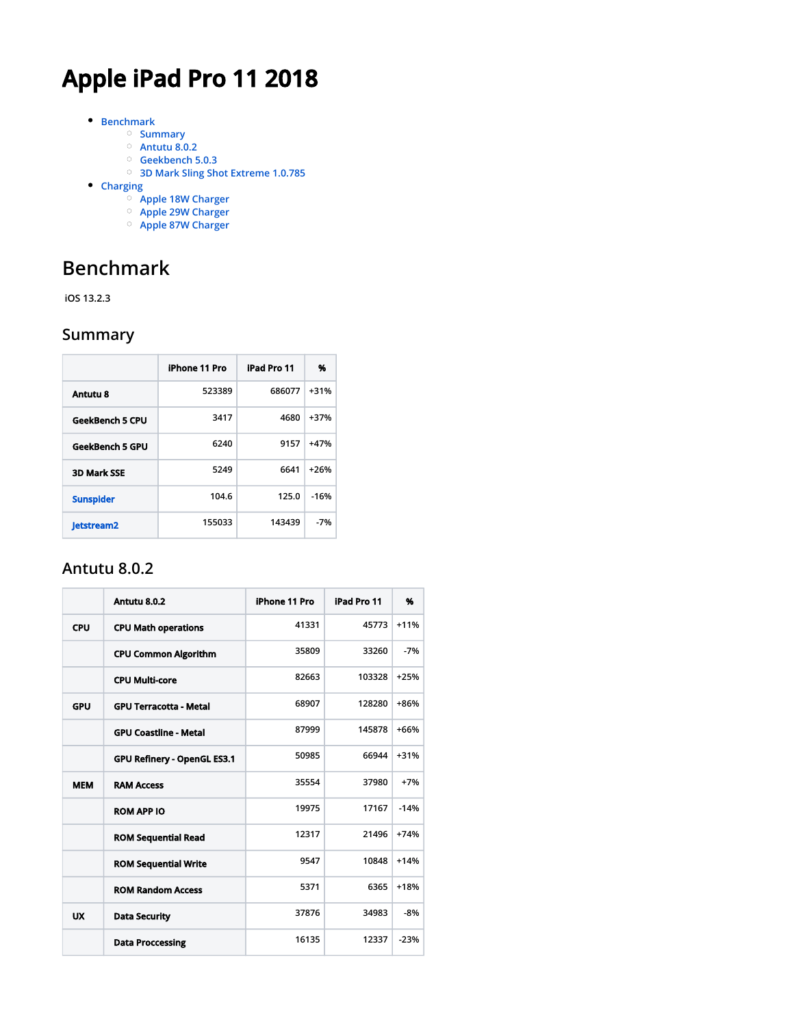# **Apple iPad Pro 11 2018**

- **[Benchmark](#page-0-0)**
	- **[Summary](#page-0-1)**
		- **[Antutu 8.0.2](#page-0-2)**
	- **[Geekbench 5.0.3](#page-1-0)**
	- **[3D Mark Sling Shot Extreme 1.0.785](#page-1-1)**
- **[Charging](#page-1-2)**
	- **[Apple 18W Charger](#page-1-3)**
	- **[Apple 29W Charger](#page-2-0)**
	- **[Apple 87W Charger](#page-2-1)**

# <span id="page-0-0"></span>**Benchmark**

 **iOS 13.2.3**

#### <span id="page-0-1"></span>**Summary**

|                        | iPhone 11 Pro | iPad Pro 11 | %      |
|------------------------|---------------|-------------|--------|
| Antutu 8               | 523389        | 686077      | $+31%$ |
| <b>GeekBench 5 CPU</b> | 3417          | 4680        | $+37%$ |
| <b>GeekBench 5 GPU</b> | 6240          | 9157        | $+47%$ |
| <b>3D Mark SSE</b>     | 5249          | 6641        | $+26%$ |
| <b>Sunspider</b>       | 104.6         | 125.0       | $-16%$ |
| <b>Jetstream2</b>      | 155033        | 143439      | $-7%$  |

#### <span id="page-0-2"></span>**Antutu 8.0.2**

|            | Antutu 8.0.2                  | iPhone 11 Pro | iPad Pro 11 | %      |
|------------|-------------------------------|---------------|-------------|--------|
| <b>CPU</b> | <b>CPU Math operations</b>    | 41331         | 45773       | $+11%$ |
|            | <b>CPU Common Algorithm</b>   | 35809         | 33260       | $-7%$  |
|            | <b>CPU Multi-core</b>         | 82663         | 103328      | $+25%$ |
| <b>GPU</b> | <b>GPU Terracotta - Metal</b> | 68907         | 128280      | $+86%$ |
|            | <b>GPU Coastline - Metal</b>  | 87999         | 145878      | $+66%$ |
|            | GPU Refinery - OpenGL ES3.1   | 50985         | 66944       | $+31%$ |
| <b>MEM</b> | <b>RAM Access</b>             | 35554         | 37980       | $+7%$  |
|            | <b>ROM APP IO</b>             | 19975         | 17167       | $-14%$ |
|            | <b>ROM Sequential Read</b>    | 12317         | 21496       | $+74%$ |
|            | <b>ROM Sequential Write</b>   | 9547          | 10848       | $+14%$ |
|            | <b>ROM Random Access</b>      | 5371          | 6365        | $+18%$ |
| UX         | <b>Data Security</b>          | 37876         | 34983       | $-8%$  |
|            | <b>Data Proccessing</b>       | 16135         | 12337       | $-23%$ |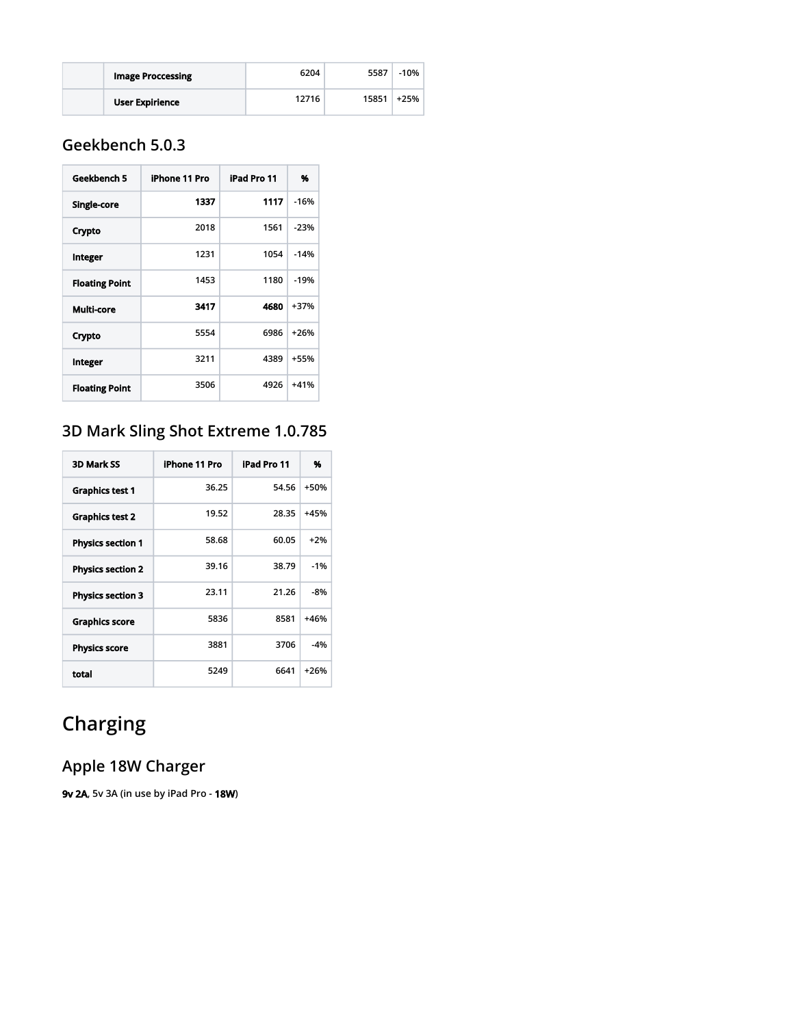| <b>Image Proccessing</b> | 6204  | 5587  | $-10%$ |
|--------------------------|-------|-------|--------|
| <b>User Expirience</b>   | 12716 | 15851 | +25%   |

## <span id="page-1-0"></span>**Geekbench 5.0.3**

| Geekbench 5           | iPhone 11 Pro | iPad Pro 11 | %      |
|-----------------------|---------------|-------------|--------|
| <b>Single-core</b>    | 1337          | 1117        | $-16%$ |
| Crypto                | 2018          | 1561        | $-23%$ |
| Integer               | 1231          | 1054        | $-14%$ |
| <b>Floating Point</b> | 1453          | 1180        | $-19%$ |
| Multi-core            | 3417          | 4680        | $+37%$ |
| Crypto                | 5554          | 6986        | $+26%$ |
| Integer               | 3211          | 4389        | +55%   |
| <b>Floating Point</b> | 3506          | 4926        | $+41%$ |

# <span id="page-1-1"></span>**3D Mark Sling Shot Extreme 1.0.785**

| <b>3D Mark SS</b>        | iPhone 11 Pro | iPad Pro 11 | %      |
|--------------------------|---------------|-------------|--------|
| <b>Graphics test 1</b>   | 36.25         | 54.56       | $+50%$ |
| <b>Graphics test 2</b>   | 19.52         | 28.35       | $+45%$ |
| <b>Physics section 1</b> | 58.68         | 60.05       | $+2%$  |
| <b>Physics section 2</b> | 39.16         | 38.79       | $-1%$  |
| <b>Physics section 3</b> | 23.11         | 21.26       | -8%    |
| <b>Graphics score</b>    | 5836          | 8581        | $+46%$ |
| <b>Physics score</b>     | 3881          | 3706        | $-4%$  |
| total                    | 5249          | 6641        | $+26%$ |

# <span id="page-1-2"></span>**Charging**

## <span id="page-1-3"></span>**Apple 18W Charger**

**9v 2A, 5v 3A (in use by iPad Pro - 18W)**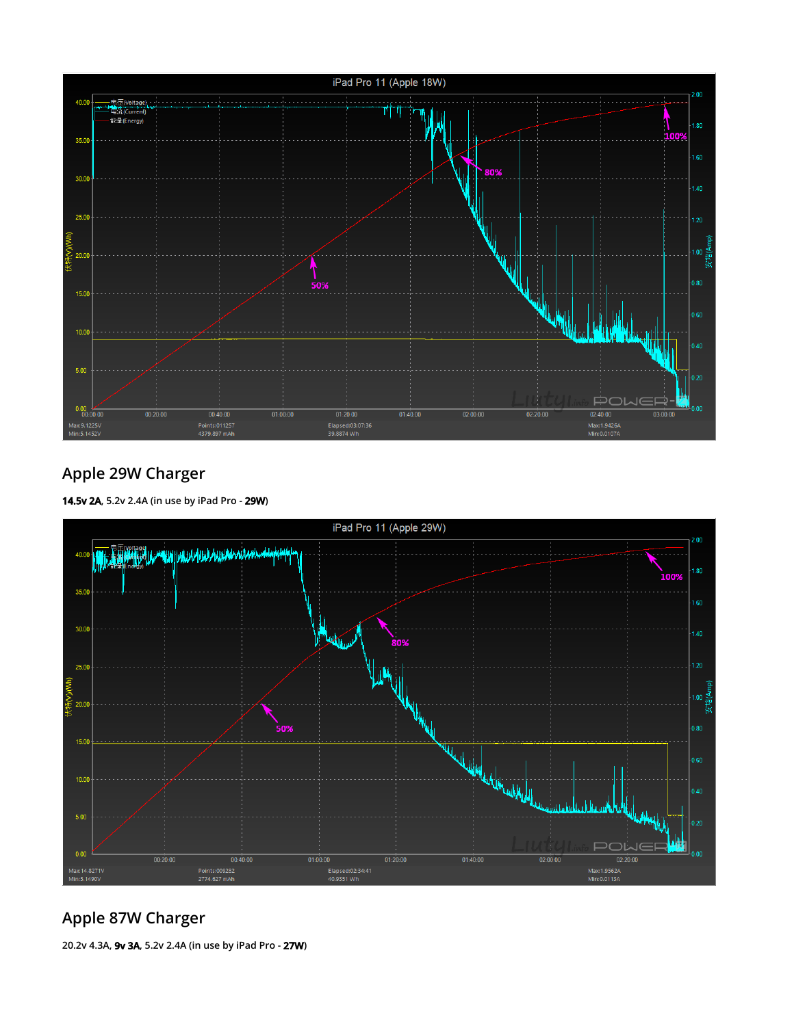

### <span id="page-2-0"></span>**Apple 29W Charger**





### <span id="page-2-1"></span>**Apple 87W Charger**

**20.2v 4.3A, 9v 3A, 5.2v 2.4A (in use by iPad Pro - 27W)**